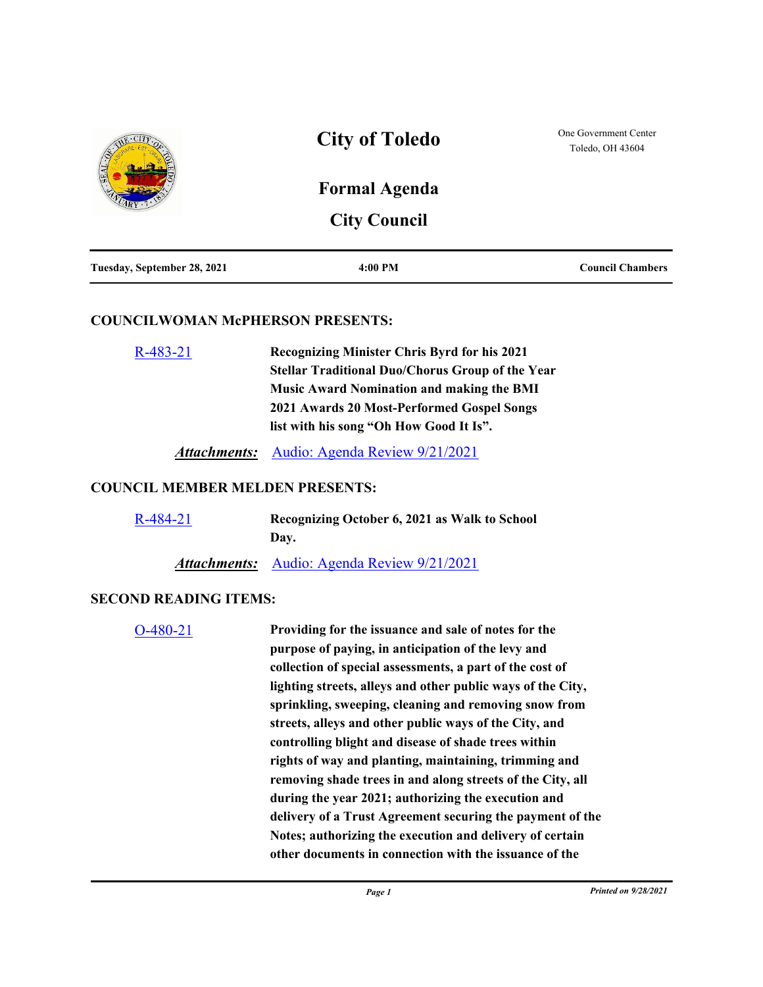|                             | <b>City of Toledo</b>                       | One Government Center<br>Toledo, OH 43604 |
|-----------------------------|---------------------------------------------|-------------------------------------------|
| 忌                           | <b>Formal Agenda</b><br><b>City Council</b> |                                           |
| Tuesday, September 28, 2021 | $4:00 \text{ PM}$                           | <b>Council Chambers</b>                   |

#### **COUNCILWOMAN McPHERSON PRESENTS:**

| $R-483-21$ | <b>Recognizing Minister Chris Byrd for his 2021</b>     |
|------------|---------------------------------------------------------|
|            | <b>Stellar Traditional Duo/Chorus Group of the Year</b> |
|            | <b>Music Award Nomination and making the BMI</b>        |
|            | 2021 Awards 20 Most-Performed Gospel Songs              |
|            | list with his song "Oh How Good It Is".                 |
|            |                                                         |

*Attachments:* [Audio: Agenda Review 9/21/2021](http://toledo.granicus.com/player/clip/1286?view_id=1&meta_id=150030&redirect=true)

### **COUNCIL MEMBER MELDEN PRESENTS:**

| $R-484-21$ | Recognizing October 6, 2021 as Walk to School      |  |
|------------|----------------------------------------------------|--|
|            | Dav.                                               |  |
|            | <b>Attachments:</b> Audio: Agenda Review 9/21/2021 |  |

#### **SECOND READING ITEMS:**

[O-480-21](http://toledo.legistar.com/gateway.aspx?m=l&id=/matter.aspx?key=36819) **Providing for the issuance and sale of notes for the purpose of paying, in anticipation of the levy and collection of special assessments, a part of the cost of lighting streets, alleys and other public ways of the City, sprinkling, sweeping, cleaning and removing snow from streets, alleys and other public ways of the City, and controlling blight and disease of shade trees within rights of way and planting, maintaining, trimming and removing shade trees in and along streets of the City, all during the year 2021; authorizing the execution and delivery of a Trust Agreement securing the payment of the Notes; authorizing the execution and delivery of certain other documents in connection with the issuance of the**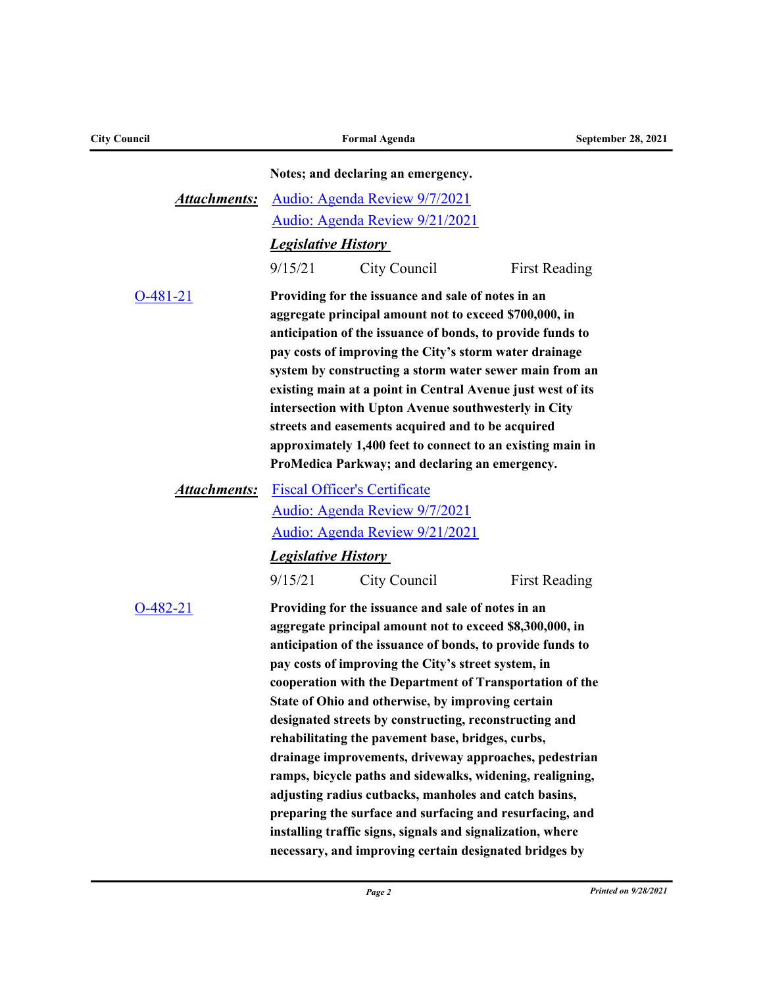| <b>City Council</b> |                                       | <b>Formal Agenda</b>                                                                                                                                                                                                                                                                                                                                                                                                                                                                                                                                                                                                                                                                                                                                                                                                                    | <b>September 28, 2021</b> |
|---------------------|---------------------------------------|-----------------------------------------------------------------------------------------------------------------------------------------------------------------------------------------------------------------------------------------------------------------------------------------------------------------------------------------------------------------------------------------------------------------------------------------------------------------------------------------------------------------------------------------------------------------------------------------------------------------------------------------------------------------------------------------------------------------------------------------------------------------------------------------------------------------------------------------|---------------------------|
|                     |                                       | Notes; and declaring an emergency.                                                                                                                                                                                                                                                                                                                                                                                                                                                                                                                                                                                                                                                                                                                                                                                                      |                           |
| <b>Attachments:</b> |                                       | Audio: Agenda Review 9/7/2021                                                                                                                                                                                                                                                                                                                                                                                                                                                                                                                                                                                                                                                                                                                                                                                                           |                           |
|                     |                                       | Audio: Agenda Review 9/21/2021                                                                                                                                                                                                                                                                                                                                                                                                                                                                                                                                                                                                                                                                                                                                                                                                          |                           |
|                     | <b>Legislative History</b>            |                                                                                                                                                                                                                                                                                                                                                                                                                                                                                                                                                                                                                                                                                                                                                                                                                                         |                           |
|                     | 9/15/21                               | City Council                                                                                                                                                                                                                                                                                                                                                                                                                                                                                                                                                                                                                                                                                                                                                                                                                            | <b>First Reading</b>      |
| $O-481-21$          |                                       | Providing for the issuance and sale of notes in an<br>aggregate principal amount not to exceed \$700,000, in<br>anticipation of the issuance of bonds, to provide funds to<br>pay costs of improving the City's storm water drainage<br>system by constructing a storm water sewer main from an<br>existing main at a point in Central Avenue just west of its<br>intersection with Upton Avenue southwesterly in City<br>streets and easements acquired and to be acquired<br>approximately 1,400 feet to connect to an existing main in<br>ProMedica Parkway; and declaring an emergency.                                                                                                                                                                                                                                             |                           |
| <b>Attachments:</b> |                                       | <b>Fiscal Officer's Certificate</b><br>Audio: Agenda Review 9/7/2021<br>Audio: Agenda Review 9/21/2021                                                                                                                                                                                                                                                                                                                                                                                                                                                                                                                                                                                                                                                                                                                                  |                           |
|                     | <b>Legislative History</b><br>9/15/21 | City Council                                                                                                                                                                                                                                                                                                                                                                                                                                                                                                                                                                                                                                                                                                                                                                                                                            | <b>First Reading</b>      |
| $O-482-21$          |                                       | Providing for the issuance and sale of notes in an<br>aggregate principal amount not to exceed \$8,300,000, in<br>anticipation of the issuance of bonds, to provide funds to<br>pay costs of improving the City's street system, in<br>cooperation with the Department of Transportation of the<br>State of Ohio and otherwise, by improving certain<br>designated streets by constructing, reconstructing and<br>rehabilitating the pavement base, bridges, curbs,<br>drainage improvements, driveway approaches, pedestrian<br>ramps, bicycle paths and sidewalks, widening, realigning,<br>adjusting radius cutbacks, manholes and catch basins,<br>preparing the surface and surfacing and resurfacing, and<br>installing traffic signs, signals and signalization, where<br>necessary, and improving certain designated bridges by |                           |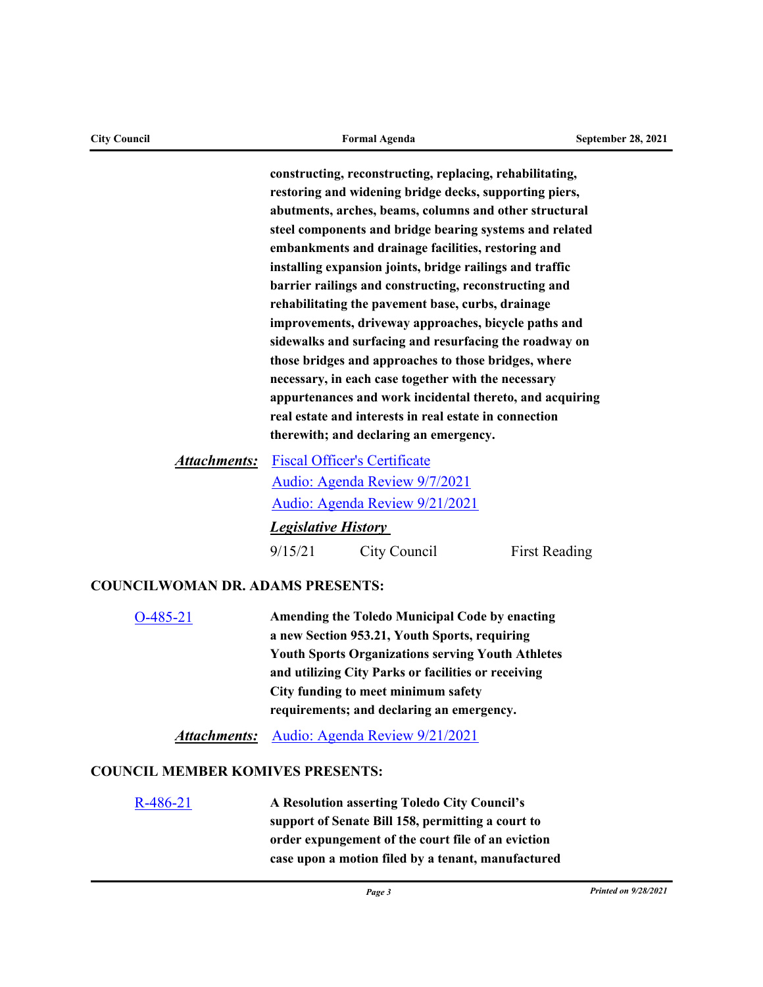| abutments, arches, beams, columns and other structural   |
|----------------------------------------------------------|
| steel components and bridge bearing systems and related  |
| embankments and drainage facilities, restoring and       |
| installing expansion joints, bridge railings and traffic |
| barrier railings and constructing, reconstructing and    |
| rehabilitating the pavement base, curbs, drainage        |
| improvements, driveway approaches, bicycle paths and     |
| sidewalks and surfacing and resurfacing the roadway on   |
| those bridges and approaches to those bridges, where     |
| necessary, in each case together with the necessary      |
| appurtenances and work incidental thereto, and acquiring |

[Fiscal Officer's Certificate](http://toledo.legistar.com/gateway.aspx?M=F&ID=811d52dc-2076-4344-bce9-8f298150433f.pdf) *Attachments:* [Audio: Agenda Review 9/7/2021](http://toledo.granicus.com/player/clip/1273?view_id=1&meta_id=148758&redirect=true) [Audio: Agenda Review 9/21/2021](http://toledo.granicus.com/player/clip/1286?view_id=1&meta_id=150043&redirect=true) *Legislative History* 

9/15/21 City Council First Reading

**real estate and interests in real estate in connection** 

**therewith; and declaring an emergency.**

### **COUNCILWOMAN DR. ADAMS PRESENTS:**

[O-485-21](http://toledo.legistar.com/gateway.aspx?m=l&id=/matter.aspx?key=36869) **Amending the Toledo Municipal Code by enacting a new Section 953.21, Youth Sports, requiring Youth Sports Organizations serving Youth Athletes and utilizing City Parks or facilities or receiving City funding to meet minimum safety requirements; and declaring an emergency.**

*Attachments:* [Audio: Agenda Review 9/21/2021](http://toledo.granicus.com/player/clip/1286?view_id=1&meta_id=150048&redirect=true)

## **COUNCIL MEMBER KOMIVES PRESENTS:**

[R-486-21](http://toledo.legistar.com/gateway.aspx?m=l&id=/matter.aspx?key=36871) **A Resolution asserting Toledo City Council's support of Senate Bill 158, permitting a court to order expungement of the court file of an eviction case upon a motion filed by a tenant, manufactured** 

**constructing, reconstructing, replacing, rehabilitating, restoring and widening bridge decks, supporting piers,**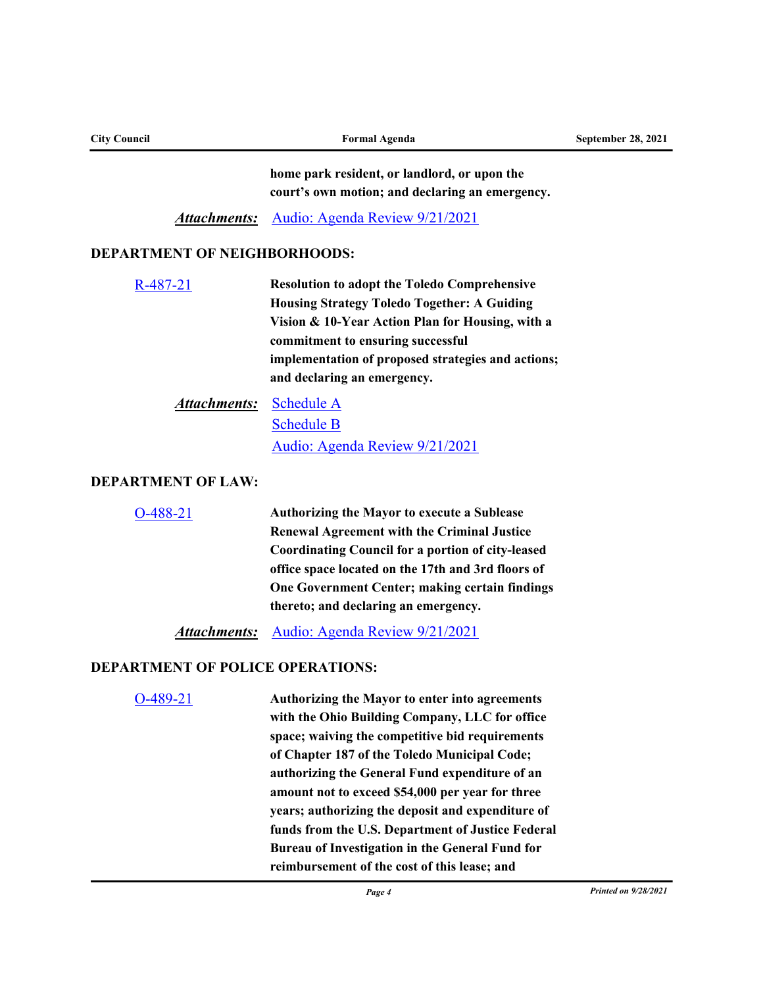| <b>City Council</b>                     | <b>Formal Agenda</b>                                                                                 | <b>September 28, 2021</b> |
|-----------------------------------------|------------------------------------------------------------------------------------------------------|---------------------------|
|                                         | home park resident, or landlord, or upon the                                                         |                           |
|                                         | court's own motion; and declaring an emergency.                                                      |                           |
| <u>Attachments:</u>                     | Audio: Agenda Review 9/21/2021                                                                       |                           |
| <b>DEPARTMENT OF NEIGHBORHOODS:</b>     |                                                                                                      |                           |
| R-487-21                                | <b>Resolution to adopt the Toledo Comprehensive</b>                                                  |                           |
|                                         | <b>Housing Strategy Toledo Together: A Guiding</b>                                                   |                           |
|                                         | Vision & 10-Year Action Plan for Housing, with a                                                     |                           |
|                                         | commitment to ensuring successful<br>implementation of proposed strategies and actions;              |                           |
|                                         | and declaring an emergency.                                                                          |                           |
| <b>Attachments:</b>                     | <b>Schedule A</b>                                                                                    |                           |
|                                         | <b>Schedule B</b>                                                                                    |                           |
|                                         | Audio: Agenda Review 9/21/2021                                                                       |                           |
| <b>DEPARTMENT OF LAW:</b>               |                                                                                                      |                           |
| $O-488-21$                              | <b>Authorizing the Mayor to execute a Sublease</b>                                                   |                           |
|                                         | <b>Renewal Agreement with the Criminal Justice</b>                                                   |                           |
|                                         | <b>Coordinating Council for a portion of city-leased</b>                                             |                           |
|                                         | office space located on the 17th and 3rd floors of<br>One Government Center; making certain findings |                           |
|                                         | thereto; and declaring an emergency.                                                                 |                           |
| <b>Attachments:</b>                     | Audio: Agenda Review 9/21/2021                                                                       |                           |
| <b>DEPARTMENT OF POLICE OPERATIONS:</b> |                                                                                                      |                           |
| O-489-21                                | Authorizing the Mayor to enter into agreements                                                       |                           |
|                                         | with the Ohio Building Company, LLC for office                                                       |                           |
|                                         | space; waiving the competitive bid requirements                                                      |                           |
|                                         | of Chapter 187 of the Toledo Municipal Code;                                                         |                           |
|                                         | authorizing the General Fund expenditure of an<br>amount not to exceed \$54,000 per year for three   |                           |
|                                         | years; authorizing the deposit and expenditure of                                                    |                           |
|                                         | funds from the U.S. Department of Justice Federal                                                    |                           |
|                                         | Bureau of Investigation in the General Fund for                                                      |                           |
|                                         | reimbursement of the cost of this lease; and                                                         |                           |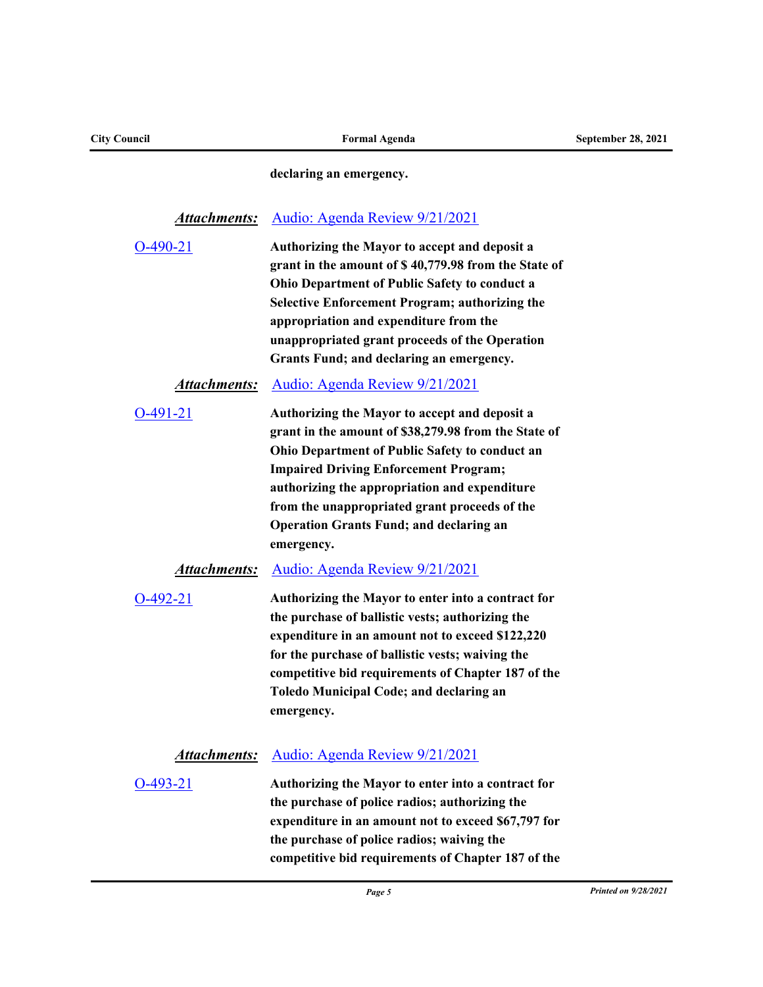**declaring an emergency.**

## *Attachments:* [Audio: Agenda Review 9/21/2021](http://toledo.granicus.com/player/clip/1286?view_id=1&meta_id=149980&redirect=true)

| $O-490-21$ | Authorizing the Mayor to accept and deposit a         |
|------------|-------------------------------------------------------|
|            | grant in the amount of \$40,779.98 from the State of  |
|            | <b>Ohio Department of Public Safety to conduct a</b>  |
|            | <b>Selective Enforcement Program; authorizing the</b> |
|            | appropriation and expenditure from the                |
|            | unappropriated grant proceeds of the Operation        |
|            | Grants Fund; and declaring an emergency.              |
|            |                                                       |

## *Attachments:* [Audio: Agenda Review 9/21/2021](http://toledo.granicus.com/player/clip/1286?view_id=1&meta_id=149982&redirect=true)

| $O-491-21$ | Authorizing the Mayor to accept and deposit a        |
|------------|------------------------------------------------------|
|            | grant in the amount of \$38,279.98 from the State of |
|            | Ohio Department of Public Safety to conduct an       |
|            | <b>Impaired Driving Enforcement Program;</b>         |
|            | authorizing the appropriation and expenditure        |
|            | from the unappropriated grant proceeds of the        |
|            | <b>Operation Grants Fund; and declaring an</b>       |
|            | emergency.                                           |

#### *Attachments:* [Audio: Agenda Review 9/21/2021](http://toledo.granicus.com/player/clip/1286?view_id=1&meta_id=149984&redirect=true)

| $O-492-21$ | Authorizing the Mayor to enter into a contract for |
|------------|----------------------------------------------------|
|            | the purchase of ballistic vests; authorizing the   |
|            | expenditure in an amount not to exceed \$122,220   |
|            | for the purchase of ballistic vests; waiving the   |
|            | competitive bid requirements of Chapter 187 of the |
|            | Toledo Municipal Code; and declaring an            |
|            | emergency.                                         |

## *Attachments:* [Audio: Agenda Review 9/21/2021](http://toledo.granicus.com/player/clip/1286?view_id=1&meta_id=149986&redirect=true)

| $O-493-21$ | Authorizing the Mayor to enter into a contract for  |
|------------|-----------------------------------------------------|
|            | the purchase of police radios; authorizing the      |
|            | expenditure in an amount not to exceed \$67,797 for |
|            | the purchase of police radios; waiving the          |
|            | competitive bid requirements of Chapter 187 of the  |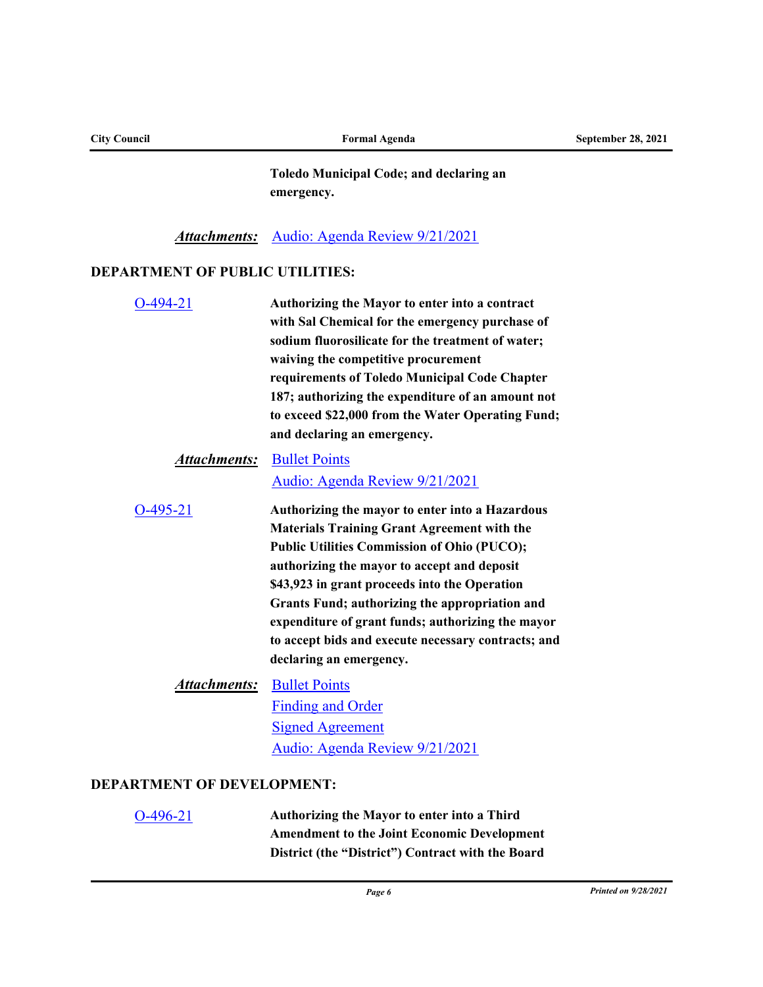| <b>City Council</b>                    | <b>Formal Agenda</b>                                                                                                                                                                                                                                                                                                                                                                                                                                 | <b>September 28, 2021</b> |
|----------------------------------------|------------------------------------------------------------------------------------------------------------------------------------------------------------------------------------------------------------------------------------------------------------------------------------------------------------------------------------------------------------------------------------------------------------------------------------------------------|---------------------------|
|                                        | <b>Toledo Municipal Code; and declaring an</b><br>emergency.                                                                                                                                                                                                                                                                                                                                                                                         |                           |
|                                        | <b>Attachments:</b> Audio: Agenda Review 9/21/2021                                                                                                                                                                                                                                                                                                                                                                                                   |                           |
| <b>DEPARTMENT OF PUBLIC UTILITIES:</b> |                                                                                                                                                                                                                                                                                                                                                                                                                                                      |                           |
| $O-494-21$                             | Authorizing the Mayor to enter into a contract<br>with Sal Chemical for the emergency purchase of<br>sodium fluorosilicate for the treatment of water;<br>waiving the competitive procurement<br>requirements of Toledo Municipal Code Chapter<br>187; authorizing the expenditure of an amount not<br>to exceed \$22,000 from the Water Operating Fund;<br>and declaring an emergency.                                                              |                           |
| <b>Attachments:</b>                    | <b>Bullet Points</b><br>Audio: Agenda Review 9/21/2021                                                                                                                                                                                                                                                                                                                                                                                               |                           |
| $O-495-21$                             | Authorizing the mayor to enter into a Hazardous<br><b>Materials Training Grant Agreement with the</b><br><b>Public Utilities Commission of Ohio (PUCO);</b><br>authorizing the mayor to accept and deposit<br>\$43,923 in grant proceeds into the Operation<br>Grants Fund; authorizing the appropriation and<br>expenditure of grant funds; authorizing the mayor<br>to accept bids and execute necessary contracts; and<br>declaring an emergency. |                           |
|                                        | <b>Attachments:</b> Bullet Points<br><b>Finding and Order</b><br><b>Signed Agreement</b><br>Audio: Agenda Review 9/21/2021                                                                                                                                                                                                                                                                                                                           |                           |
| <b>DEPARTMENT OF DEVELOPMENT:</b>      |                                                                                                                                                                                                                                                                                                                                                                                                                                                      |                           |
| $O-496-21$                             | Authorizing the Mayor to enter into a Third                                                                                                                                                                                                                                                                                                                                                                                                          |                           |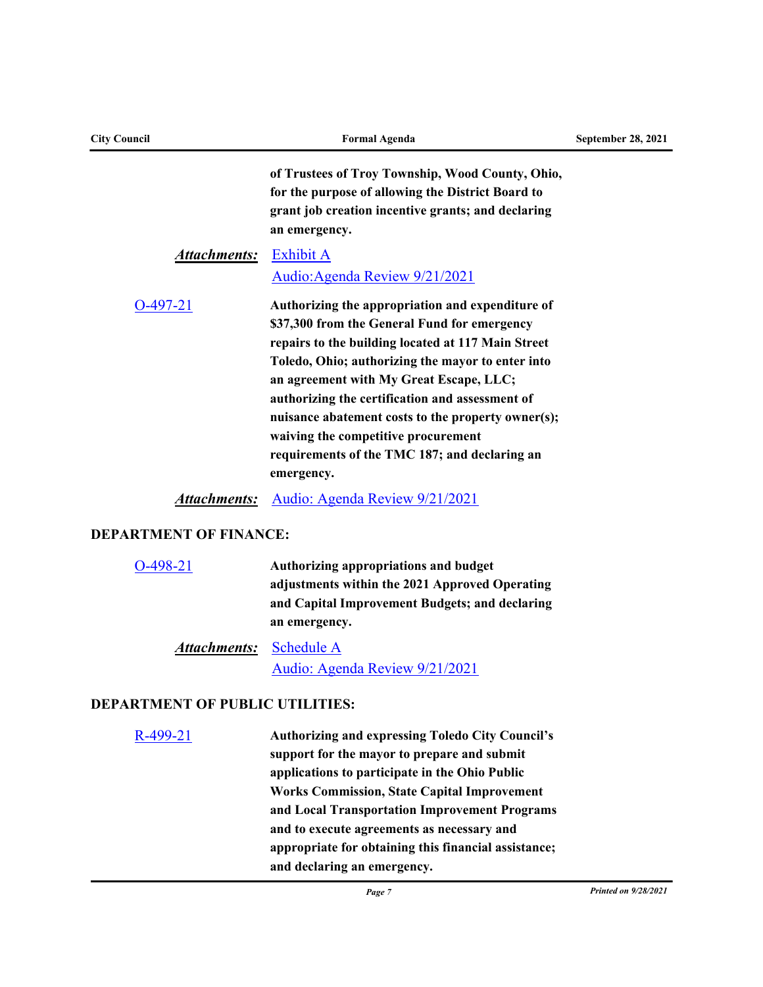| <b>City Council</b>           | <b>Formal Agenda</b>                                                                                                                                                                                                                                                                                                                                                                                                                                                  | September 28, 2021 |
|-------------------------------|-----------------------------------------------------------------------------------------------------------------------------------------------------------------------------------------------------------------------------------------------------------------------------------------------------------------------------------------------------------------------------------------------------------------------------------------------------------------------|--------------------|
|                               | of Trustees of Troy Township, Wood County, Ohio,<br>for the purpose of allowing the District Board to<br>grant job creation incentive grants; and declaring<br>an emergency.                                                                                                                                                                                                                                                                                          |                    |
| <b>Attachments:</b>           | <b>Exhibit A</b><br>Audio: Agenda Review 9/21/2021                                                                                                                                                                                                                                                                                                                                                                                                                    |                    |
| $O-497-21$                    | Authorizing the appropriation and expenditure of<br>\$37,300 from the General Fund for emergency<br>repairs to the building located at 117 Main Street<br>Toledo, Ohio; authorizing the mayor to enter into<br>an agreement with My Great Escape, LLC;<br>authorizing the certification and assessment of<br>nuisance abatement costs to the property owner(s);<br>waiving the competitive procurement<br>requirements of the TMC 187; and declaring an<br>emergency. |                    |
|                               | <b>Attachments:</b> Audio: Agenda Review 9/21/2021                                                                                                                                                                                                                                                                                                                                                                                                                    |                    |
| <b>DEPARTMENT OF FINANCE:</b> |                                                                                                                                                                                                                                                                                                                                                                                                                                                                       |                    |
| $O-498-21$                    | Authorizing appropriations and budget<br>adjustments within the 2021 Approved Operating<br>and Capital Improvement Budgets; and declaring<br>an emergency.                                                                                                                                                                                                                                                                                                            |                    |

# Attachments: [Schedule A](http://toledo.legistar.com/gateway.aspx?M=F&ID=d8b33f11-d1ce-440b-929b-3b329deec525.pdf) [Audio: Agenda Review 9/21/2021](http://toledo.granicus.com/player/clip/1286?view_id=1&meta_id=150008&redirect=true)

# **DEPARTMENT OF PUBLIC UTILITIES:**

| <b>Authorizing and expressing Toledo City Council's</b> |
|---------------------------------------------------------|
| support for the mayor to prepare and submit             |
| applications to participate in the Ohio Public          |
| <b>Works Commission, State Capital Improvement</b>      |
| and Local Transportation Improvement Programs           |
| and to execute agreements as necessary and              |
| appropriate for obtaining this financial assistance;    |
| and declaring an emergency.                             |
|                                                         |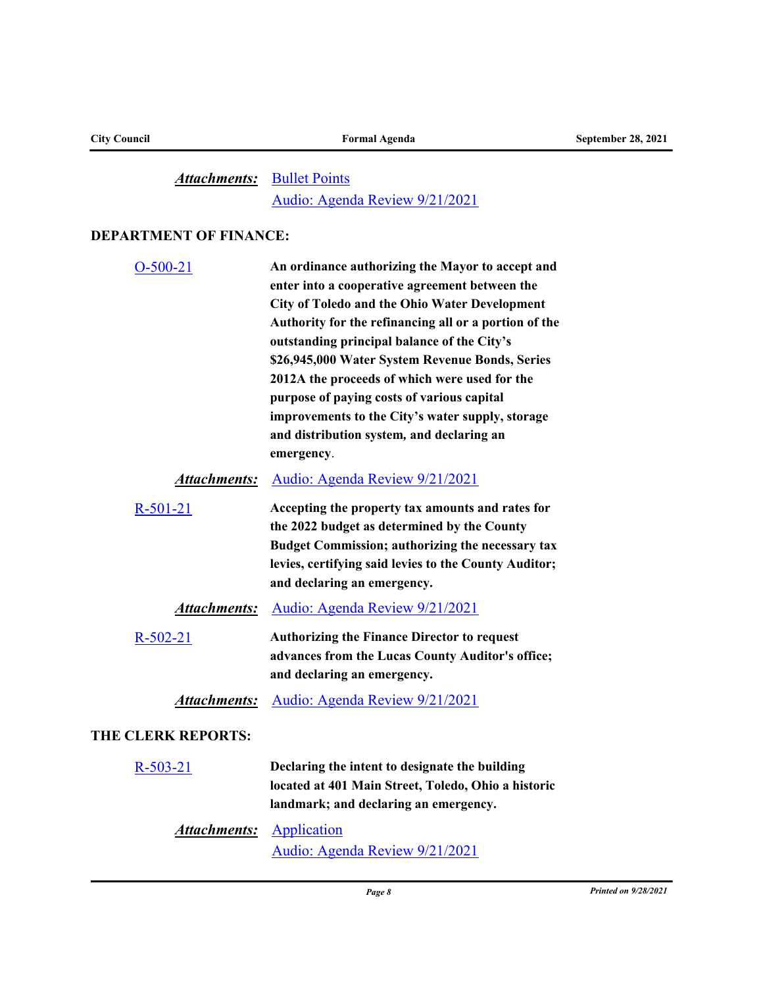# Attachments: [Bullet Points](http://toledo.legistar.com/gateway.aspx?M=F&ID=57011666-f3e8-4baa-9aea-818ba2863ea2.doc) [Audio: Agenda Review 9/21/2021](http://toledo.granicus.com/player/clip/1286?view_id=1&meta_id=150012&redirect=true)

## **DEPARTMENT OF FINANCE:**

| $O-500-21$                | An ordinance authorizing the Mayor to accept and<br>enter into a cooperative agreement between the<br><b>City of Toledo and the Ohio Water Development</b><br>Authority for the refinancing all or a portion of the<br>outstanding principal balance of the City's<br>\$26,945,000 Water System Revenue Bonds, Series<br>2012A the proceeds of which were used for the<br>purpose of paying costs of various capital<br>improvements to the City's water supply, storage<br>and distribution system, and declaring an<br>emergency. |
|---------------------------|-------------------------------------------------------------------------------------------------------------------------------------------------------------------------------------------------------------------------------------------------------------------------------------------------------------------------------------------------------------------------------------------------------------------------------------------------------------------------------------------------------------------------------------|
| Attachments:              | Audio: Agenda Review 9/21/2021                                                                                                                                                                                                                                                                                                                                                                                                                                                                                                      |
| $R-501-21$                | Accepting the property tax amounts and rates for<br>the 2022 budget as determined by the County<br>Budget Commission; authorizing the necessary tax<br>levies, certifying said levies to the County Auditor;<br>and declaring an emergency.                                                                                                                                                                                                                                                                                         |
| <b>Attachments:</b>       | Audio: Agenda Review 9/21/2021                                                                                                                                                                                                                                                                                                                                                                                                                                                                                                      |
| $R - 502 - 21$            | <b>Authorizing the Finance Director to request</b><br>advances from the Lucas County Auditor's office;<br>and declaring an emergency.                                                                                                                                                                                                                                                                                                                                                                                               |
| At <u>tachments:</u>      | Audio: Agenda Review 9/21/2021                                                                                                                                                                                                                                                                                                                                                                                                                                                                                                      |
| <b>THE CLERK REPORTS:</b> |                                                                                                                                                                                                                                                                                                                                                                                                                                                                                                                                     |
| $R-503-21$                | Declaring the intent to designate the building<br>located at 401 Main Street, Toledo, Ohio a historic<br>landmark; and declaring an emergency.                                                                                                                                                                                                                                                                                                                                                                                      |
| Attachments:              | Application<br>Audio: Agenda Review 9/21/2021                                                                                                                                                                                                                                                                                                                                                                                                                                                                                       |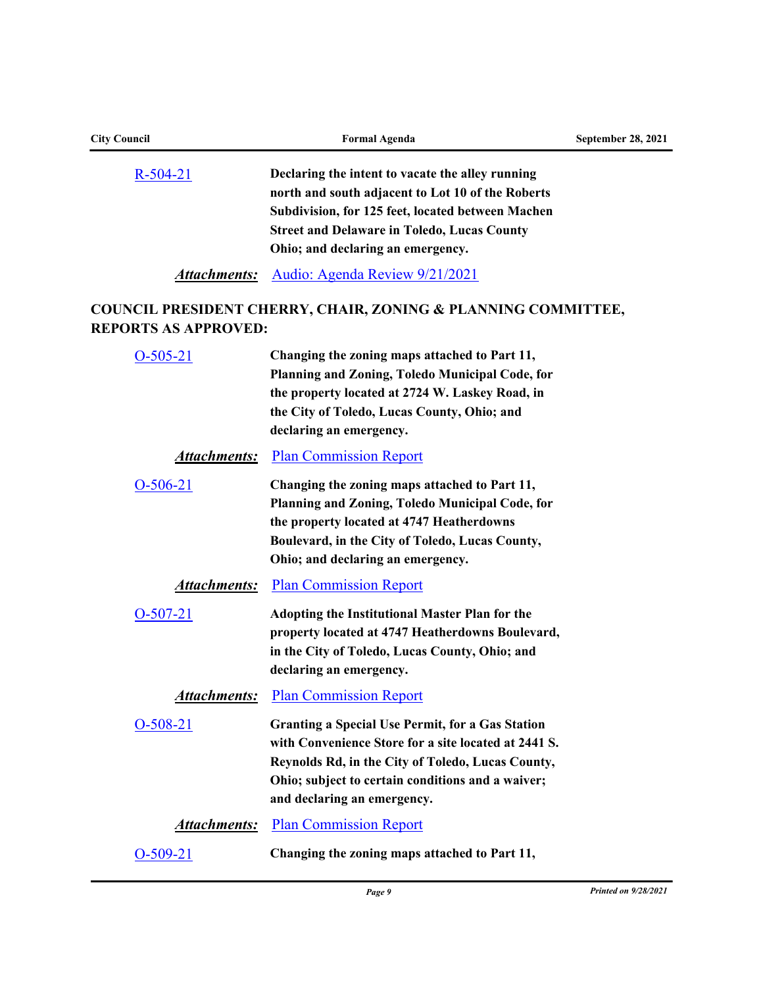| <b>City Council</b>         | <b>Formal Agenda</b>                                                                                                                                                                                                                                     | September 28, 2021 |  |  |
|-----------------------------|----------------------------------------------------------------------------------------------------------------------------------------------------------------------------------------------------------------------------------------------------------|--------------------|--|--|
| $R-504-21$                  | Declaring the intent to vacate the alley running<br>north and south adjacent to Lot 10 of the Roberts<br>Subdivision, for 125 feet, located between Machen<br><b>Street and Delaware in Toledo, Lucas County</b><br>Ohio; and declaring an emergency.    |                    |  |  |
| Attachments:                | Audio: Agenda Review 9/21/2021                                                                                                                                                                                                                           |                    |  |  |
| <b>REPORTS AS APPROVED:</b> | <b>COUNCIL PRESIDENT CHERRY, CHAIR, ZONING &amp; PLANNING COMMITTEE,</b>                                                                                                                                                                                 |                    |  |  |
| $O-505-21$                  | Changing the zoning maps attached to Part 11,<br>Planning and Zoning, Toledo Municipal Code, for<br>the property located at 2724 W. Laskey Road, in<br>the City of Toledo, Lucas County, Ohio; and<br>declaring an emergency.                            |                    |  |  |
| <u>Attachments:</u>         | <b>Plan Commission Report</b>                                                                                                                                                                                                                            |                    |  |  |
| $O-506-21$                  | Changing the zoning maps attached to Part 11,<br>Planning and Zoning, Toledo Municipal Code, for<br>the property located at 4747 Heatherdowns<br>Boulevard, in the City of Toledo, Lucas County,<br>Ohio; and declaring an emergency.                    |                    |  |  |
| <u>Attachments:</u>         | <b>Plan Commission Report</b>                                                                                                                                                                                                                            |                    |  |  |
| $O-507-21$                  | <b>Adopting the Institutional Master Plan for the</b><br>property located at 4747 Heatherdowns Boulevard,<br>in the City of Toledo, Lucas County, Ohio; and<br>declaring an emergency.                                                                   |                    |  |  |
| Attachments:                | <b>Plan Commission Report</b>                                                                                                                                                                                                                            |                    |  |  |
| $O-508-21$                  | <b>Granting a Special Use Permit, for a Gas Station</b><br>with Convenience Store for a site located at 2441 S.<br>Reynolds Rd, in the City of Toledo, Lucas County,<br>Ohio; subject to certain conditions and a waiver;<br>and declaring an emergency. |                    |  |  |
| <b>Attachments:</b>         | <b>Plan Commission Report</b>                                                                                                                                                                                                                            |                    |  |  |
| $O-509-21$                  | Changing the zoning maps attached to Part 11,                                                                                                                                                                                                            |                    |  |  |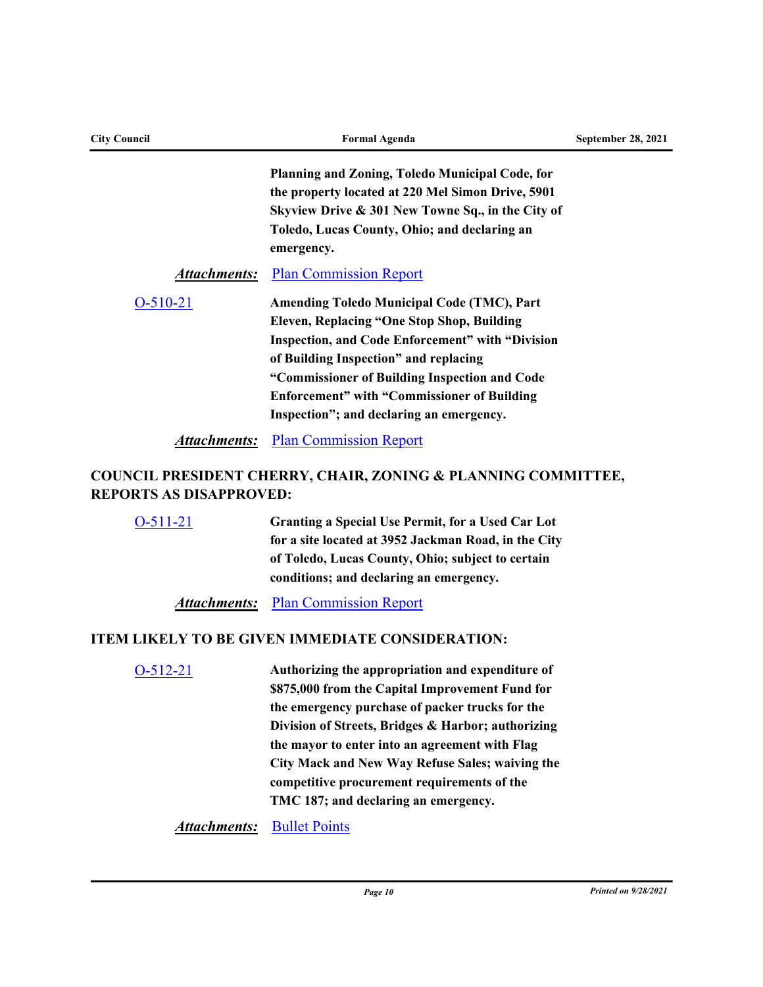| <b>City Council</b> | <b>Formal Agenda</b>                                                                                 | September 28, 2021 |
|---------------------|------------------------------------------------------------------------------------------------------|--------------------|
|                     | Planning and Zoning, Toledo Municipal Code, for<br>the property located at 220 Mel Simon Drive, 5901 |                    |
|                     | Skyview Drive & 301 New Towne Sq., in the City of                                                    |                    |
|                     | Toledo, Lucas County, Ohio; and declaring an<br>emergency.                                           |                    |
| Attachments:        | <b>Plan Commission Report</b>                                                                        |                    |
| $O-510-21$          | <b>Amending Toledo Municipal Code (TMC), Part</b>                                                    |                    |
|                     | <b>Eleven, Replacing "One Stop Shop, Building</b>                                                    |                    |
|                     | <b>Inspection, and Code Enforcement" with "Division</b>                                              |                    |
|                     | of Building Inspection" and replacing                                                                |                    |
|                     | "Commissioner of Building Inspection and Code                                                        |                    |
|                     | <b>Enforcement</b> " with "Commissioner of Building                                                  |                    |
|                     | Inspection"; and declaring an emergency.                                                             |                    |
| Attachments:        | <b>Plan Commission Report</b>                                                                        |                    |

# **COUNCIL PRESIDENT CHERRY, CHAIR, ZONING & PLANNING COMMITTEE, REPORTS AS DISAPPROVED:**

| $O-511-21$ | Granting a Special Use Permit, for a Used Car Lot<br>for a site located at 3952 Jackman Road, in the City<br>of Toledo, Lucas County, Ohio; subject to certain<br>conditions; and declaring an emergency.                                                                                                                                                                                                |  |  |  |  |  |  |
|------------|----------------------------------------------------------------------------------------------------------------------------------------------------------------------------------------------------------------------------------------------------------------------------------------------------------------------------------------------------------------------------------------------------------|--|--|--|--|--|--|
|            | <b>Attachments:</b> Plan Commission Report                                                                                                                                                                                                                                                                                                                                                               |  |  |  |  |  |  |
|            | <b>ITEM LIKELY TO BE GIVEN IMMEDIATE CONSIDERATION:</b>                                                                                                                                                                                                                                                                                                                                                  |  |  |  |  |  |  |
| $O-512-21$ | Authorizing the appropriation and expenditure of<br>\$875,000 from the Capital Improvement Fund for<br>the emergency purchase of packer trucks for the<br>Division of Streets, Bridges & Harbor; authorizing<br>the mayor to enter into an agreement with Flag<br>City Mack and New Way Refuse Sales; waiving the<br>competitive procurement requirements of the<br>TMC 187; and declaring an emergency. |  |  |  |  |  |  |

**Attachments:** [Bullet Points](http://toledo.legistar.com/gateway.aspx?M=F&ID=c896c9b2-f811-4c3b-8954-5e518b4df14a.docx)